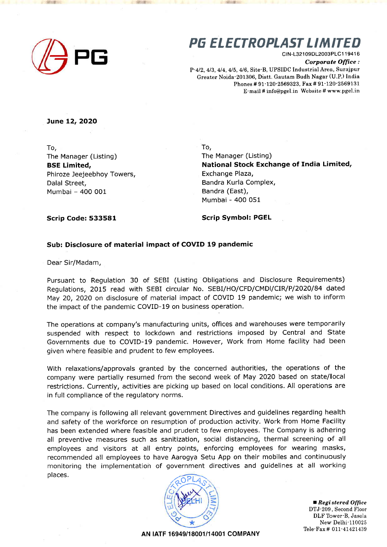

## PG ELECTROPLAST LIMITED

clN-L321 09DL2003PLCl 1 941 6 Corporate Office : P-412,413, 414, 415,4/6, Site-B, UPSIDC lndustrialArea, Surajpur

Greater Noida-201306, Distt. Gautam Budh Nagar (U.P.) India Phones # 91-120'2569323, Fax # 91-120-2569131 E-mail # info@pgel.in Website # www.pgel.in

June 12, 2O2O

To, The Manager (Listing) BSE Limited, Phiroze Jeejeebhoy Towers, Dalal Street, Mumbai - 400 001

To,

The Manager (Listing) National Stock Exchange of India Limited, Exchange Plaza, Bandra Kurla Complex, Bandra (East), Mumbai - 400 051

Scrip Code: 533581

Scrip Symbol: PGEL

## Sub: Disclosure of material impact of COVID 19 pandemic

Dear Sir/Madam,

Pursuant to Regulation 30 of SEBI (Listing Obligations and Disclosure Requirements) Regulations, 2Ot5 read with SEBI circular No. SEBI/HO/CFD/CMDI/CIR/P/2O2O/84 dated May 20, 2O2O on disclosure of material impact of COVID 19 pandemic; we wish to inform the impact of the pandemic COVID-19 on business operation.

The operations at company's manufacturing units, offices and warehouses were temporarily suspended with respect to lockdown and restrictions imposed by Central and State Governments due to COVID-19 pandemic. However, Work from Home facility had been given where feasible and prudent to few employees.

With relaxations/approvals granted by the concerned authorities, the operations of the company were partially resumed from the second week of May 2O2O based on state/local restrictions. Currently, activities are picking up based on local conditions. All operations are in full compliance of the regulatory norms.

The company is following all relevant government Directives and guidelines regarding health and safety of the workforce on resumption of production activity. Work from Home Facility has been extended where feasible and prudent to few employees, The Company is adhering all preventive measures such as sanitization, social distancing, thermal screening of all employees and visitors at all entry points, enforcing employees for wearing masks, recommended all employees to have Aarogya Setu App on their mobiles and continuously monitoring the implementatioh of government directives and guidelines at all working places.



■ Registered Office DTJ-209, Second Floor DLF Tower-B, Jasola New Delhi-110025 Tele-Fax # OII-47421439

AN |ATF 16949/18001/14001 COMPANY